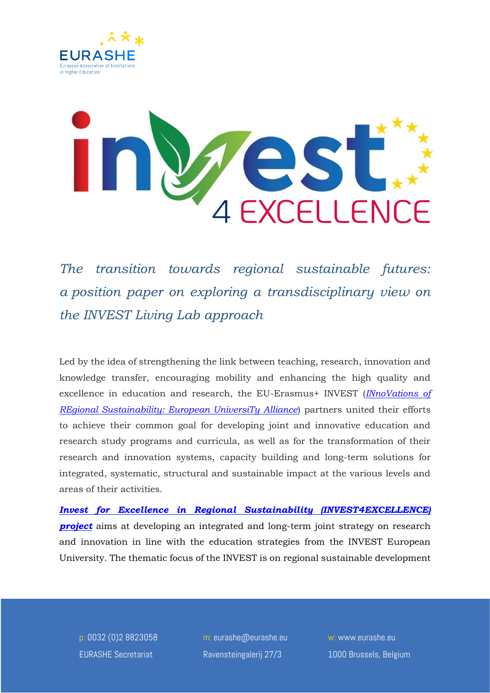



*The transition towards regional sustainable futures: a position paper on exploring a transdisciplinary view on the INVEST Living Lab approach* 

Led by the idea of strengthening the link between teaching, research, innovation and knowledge transfer, encouraging mobility and enhancing the high quality and excellence in education and research, the EU-Erasmus+ INVEST (*[INnoVations of](https://www.invest-alliance.eu/)  [REgional Sustainability: European UniversiTy Alliance](https://www.invest-alliance.eu/)*) partners united their efforts to achieve their common goal for developing joint and innovative education and research study programs and curricula, as well as for the transformation of their research and innovation systems, capacity building and long-term solutions for integrated, systematic, structural and sustainable impact at the various levels and areas of their activities.

*[Invest for Excellence in Regional Sustainability \(INVEST4EXCELLENCE\)](https://www.invest4excellence.eu/)*  **[project](https://www.invest4excellence.eu/)** aims at developing an integrated and long-term joint strategy on research and innovation in line with the education strategies from the INVEST European University. The thematic focus of the INVEST is on regional sustainable development

p: 0032 (0)2 8823058 EURASHE Secretariat

m: eurashe@eurashe.eu Ravensteingalerij 27/3

w: www.eurashe.eu 1000 Brussels, Belgium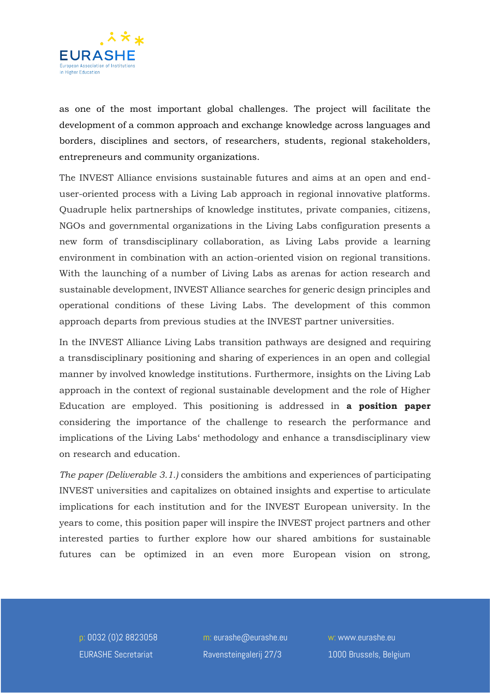

as one of the most important global challenges. The project will facilitate the development of a common approach and exchange knowledge across languages and borders, disciplines and sectors, of researchers, students, regional stakeholders, entrepreneurs and community organizations.

The INVEST Alliance envisions sustainable futures and aims at an open and enduser-oriented process with a Living Lab approach in regional innovative platforms. Quadruple helix partnerships of knowledge institutes, private companies, citizens, NGOs and governmental organizations in the Living Labs configuration presents a new form of transdisciplinary collaboration, as Living Labs provide a learning environment in combination with an action-oriented vision on regional transitions. With the launching of a number of Living Labs as arenas for action research and sustainable development, INVEST Alliance searches for generic design principles and operational conditions of these Living Labs. The development of this common approach departs from previous studies at the INVEST partner universities.

In the INVEST Alliance Living Labs transition pathways are designed and requiring a transdisciplinary positioning and sharing of experiences in an open and collegial manner by involved knowledge institutions. Furthermore, insights on the Living Lab approach in the context of regional sustainable development and the role of Higher Education are employed. This positioning is addressed in **a position paper** considering the importance of the challenge to research the performance and implications of the Living Labs' methodology and enhance a transdisciplinary view on research and education.

*The paper (Deliverable 3.1.)* considers the ambitions and experiences of participating INVEST universities and capitalizes on obtained insights and expertise to articulate implications for each institution and for the INVEST European university. In the years to come, this position paper will inspire the INVEST project partners and other interested parties to further explore how our shared ambitions for sustainable futures can be optimized in an even more European vision on strong,

p: 0032 (0)2 8823058 EURASHE Secretariat

m: eurashe@eurashe.eu Ravensteingalerij 27/3

w: www.eurashe.eu 1000 Brussels, Belgium